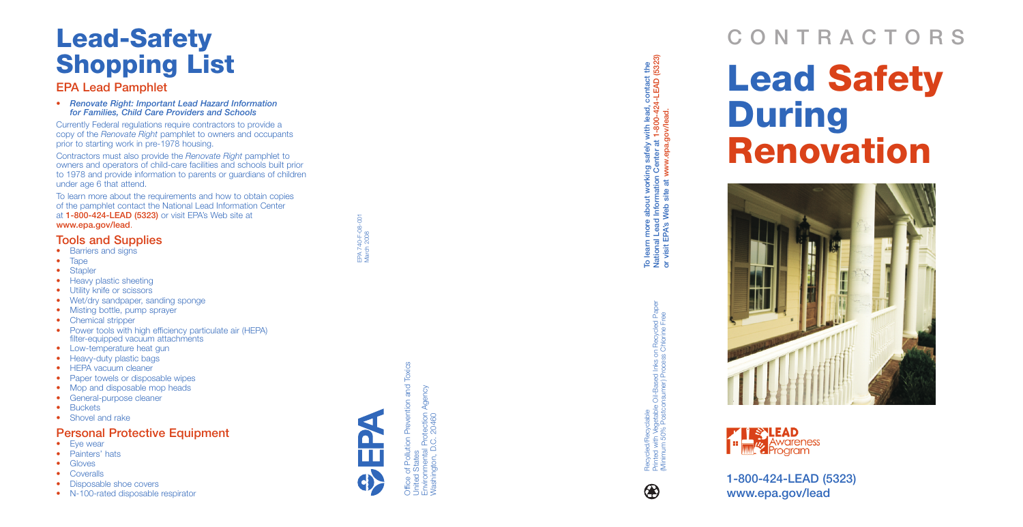# **Lead-Safety Shopping List**

#### **EPA Lead Pamphlet**

Currently Federal regulations require contractors to provide a copy of the *Renovate Right* pamphlet to owners and occupants prior to starting work in pre-1978 housing.

**•** *Renovate Right: Important Lead Hazard Information for Families, Child Care Providers and Schools* 

Contractors must also provide the *Renovate Right* pamphlet to owners and operators of child-care facilities and schools built prior to 1978 and provide information to parents or guardians of children under age 6 that attend.

To learn more about the requirements and how to obtain copies of the pamphlet contact the National Lead Information Center at **1-800-424-LEAD (5323)** or visit EPA's Web site at **www.epa.gov/lead**.

- Eye wear
- Painters' hats
- **•** Gloves
- **•** Coveralls
- Disposable shoe covers
- **•** N-100-rated disposable respirator



#### **Tools and Supplies**

- Barriers and signs
- Tape
- Stapler
- Heavy plastic sheeting
- Utility knife or scissors
- Wet/dry sandpaper, sanding sponge
- Misting bottle, pump sprayer
- **Chemical stripper**
- Power tools with high efficiency particulate air (HEPA) filter-equipped vacuum attachments
- Low-temperature heat gun
- Heavy-duty plastic bags
- HEPA vacuum cleaner
- Paper towels or disposable wipes
- Mop and disposable mop heads
- **•** General-purpose cleaner
- **•** Buckets
- Shovel and rake

To learn more about working safely with lead, contact the<br>National Lead Information Center at 1-800-424-LEAD (5323)<br>or visit EPA's Web site at www.epa.gov/lead. **National Lead Information Center at 1-800-424-LEAD (5323) To learn more about working safely with lead, contact the or visit EPA's Web site at www.epa.gov/lead.** 

#### **Personal Protective Equipment**

EPA 740-F-08-001 March 2008

> Diffice of Pollution Prevention and Toxics<br>United States<br>Environmental Protection Agency<br>Nashington, D.C. 20460 Office of Pollution Prevention and Toxics Environmental Protection Agency Washington, D.C. 20460 United States

Printed with Vegetable Oil-Based Inks on Recycled Paper Oil-Based Inks on Recycled Pape<br>nsumer) Process Chlorine Free (Minimum 50% Postconsumer) Process Chlorine Free Recycled/Recyclable<br>Printed with Vegetable O<br>(Minimum 50% Postcons Recycled/Recyclable

 $\bigcircledR$ 





**THE STLEAD**<br>**Example:** Awareness<br>**Program** 

# **CONTRACTORS Lead Safety During Renovation**



**1-800-424-LEAD (5323) www.epa.gov/lead**